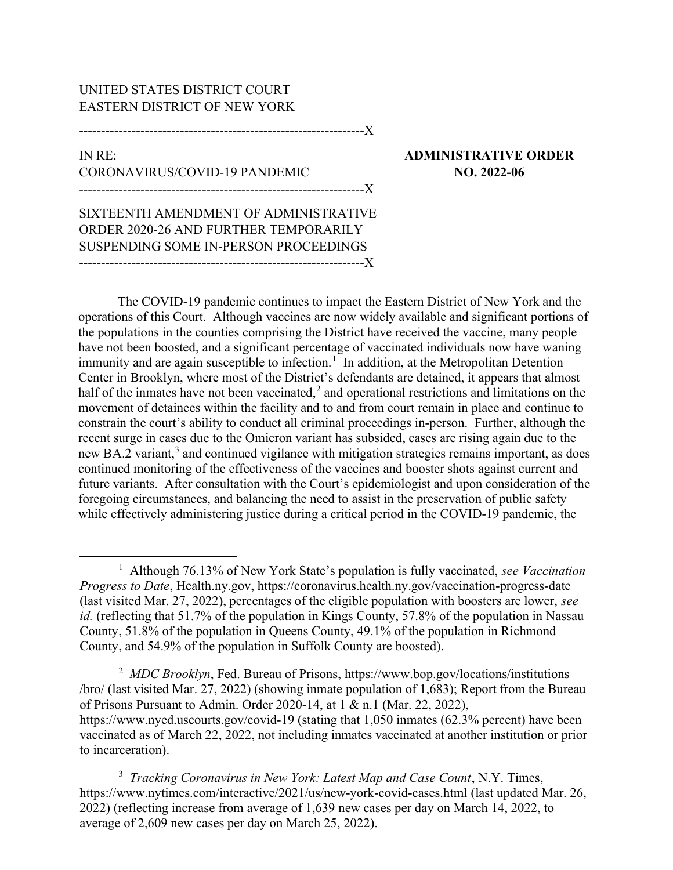## UNITED STATES DISTRICT COURT EASTERN DISTRICT OF NEW YORK

-----------------------------------------------------------------X

## IN RE: ADMINISTRATIVE ORDER CORONAVIRUS/COVID-19 PANDEMIC NO. 2022-06 -----------------------------------------------------------------X

SIXTEENTH AMENDMENT OF ADMINISTRATIVE ORDER 2020-26 AND FURTHER TEMPORARILY SUSPENDING SOME IN-PERSON PROCEEDINGS -----------------------------------------------------------------X

The COVID-19 pandemic continues to impact the Eastern District of New York and the operations of this Court. Although vaccines are now widely available and significant portions of the populations in the counties comprising the District have received the vaccine, many people have not been boosted, and a significant percentage of vaccinated individuals now have waning immunity and are again susceptible to infection.<sup>1</sup> In addition, at the Metropolitan Detention Center in Brooklyn, where most of the District's defendants are detained, it appears that almost half of the inmates have not been vaccinated,<sup>2</sup> and operational restrictions and limitations on the movement of detainees within the facility and to and from court remain in place and continue to constrain the court's ability to conduct all criminal proceedings in-person. Further, although the recent surge in cases due to the Omicron variant has subsided, cases are rising again due to the new BA.2 variant,<sup>3</sup> and continued vigilance with mitigation strategies remains important, as does continued monitoring of the effectiveness of the vaccines and booster shots against current and future variants. After consultation with the Court's epidemiologist and upon consideration of the foregoing circumstances, and balancing the need to assist in the preservation of public safety while effectively administering justice during a critical period in the COVID-19 pandemic, the

<sup>2</sup> MDC Brooklyn, Fed. Bureau of Prisons, https://www.bop.gov/locations/institutions /bro/ (last visited Mar. 27, 2022) (showing inmate population of 1,683); Report from the Bureau of Prisons Pursuant to Admin. Order 2020-14, at 1 & n.1 (Mar. 22, 2022), https://www.nyed.uscourts.gov/covid-19 (stating that 1,050 inmates (62.3% percent) have been vaccinated as of March 22, 2022, not including inmates vaccinated at another institution or prior to incarceration).

<sup>3</sup> Tracking Coronavirus in New York: Latest Map and Case Count, N.Y. Times, https://www.nytimes.com/interactive/2021/us/new-york-covid-cases.html (last updated Mar. 26, 2022) (reflecting increase from average of 1,639 new cases per day on March 14, 2022, to average of 2,609 new cases per day on March 25, 2022).

<sup>&</sup>lt;sup>1</sup> Although 76.13% of New York State's population is fully vaccinated, see Vaccination Progress to Date, Health.ny.gov, https://coronavirus.health.ny.gov/vaccination-progress-date (last visited Mar. 27, 2022), percentages of the eligible population with boosters are lower, see id. (reflecting that 51.7% of the population in Kings County, 57.8% of the population in Nassau County, 51.8% of the population in Queens County, 49.1% of the population in Richmond County, and 54.9% of the population in Suffolk County are boosted).